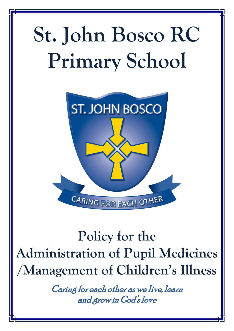# **St. John Bosco RC Primary School**



# **Policy for the Administration of Pupil Medicines /Management of Children's Illness**

Caring for each other as we live, learn and grow in God's love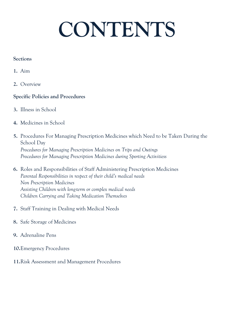# **CONTENTS**

## **Sections**

- **1.** Aim
- **2.** Overview

# **Specific Policies and Procedures**

- **3.** Illness in School
- **4.** Medicines in School
- **5.** Procedures For Managing Prescription Medicines which Need to be Taken During the School Day *Procedures for Managing Prescription Medicines on Trips and Outings Procedures for Managing Prescription Medicines during Sporting Activitiess*
- **6.** Roles and Responsibilities of Staff Administering Prescription Medicines *Parental Responsibilities in respect of their child's medical needs Non Prescription Medicines Assisting Children with long-term or complex medical needs Children Carrying and Taking Medication Themselves*
- **7.** Staff Training in Dealing with Medical Needs
- **8.** Safe Storage of Medicines
- **9.** Adrenaline Pens
- **10.**Emergency Procedures
- **11.**Risk Assessment and Management Procedures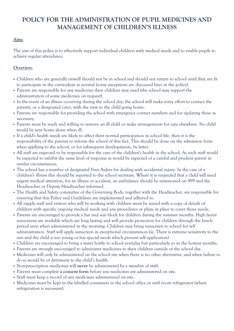# **POLICY FOR THE ADMINISTRATION OF PUPIL MEDICINES AND MANAGEMENT OF CHILDREN'S ILLNESS**

#### **Aim:**

The aim of this policy is to effectively support individual children with medical needs and to enable pupils to achieve regular attendance.

#### **Overview:**

- Children who are generally unwell should not be in school and should not return to school until they are fit to participate in the curriculum as normal (some exceptions are discussed later in the policy).
- Parents are responsible for any medicines their children may need (the school may support the administration of some medicines on request).
- In the event of an illness occurring during the school day; the school will make every effort to contact the parents, or a designated carer, with the view to the child going home.
- Parents are responsible for providing the school with emergency contact numbers and for updating these as necessary.
- Parents must be ready and willing to remove an ill child or make arrangements for care elsewhere. No child would be sent home alone when ill.
- If a child's health needs are likely to affect their normal participation in school life, then it is the responsibility of the parents to inform the school of this fact. This should be done on the admission form when applying to the school, or for subsequent developments, by letter.
- All staff are expected to be responsible for the care of the children's health in the school. As such staff would be expected to exhibit the same level of response as would be expected of a careful and prudent parent in similar circumstances.
- The school has a number of designated First Aiders for dealing with accidental injury. In the case of a children's illness this should be reported to the school secretary. Where it is suspected that a child will need urgent medical attention, for an illness or accident, an ambulance should be summoned on 999 and the Headteacher or Deputy Headteacher informed.
- The Health and Safety committee of the Governing Body, together with the Headteacher, are responsible for ensuring that this Policy and Guidelines are implemented and adhered to.
- All supply staff and visitors who will be working with children must be issued with a copy of details of children with specific ongoing medical needs and any procedures or plans in place to cover those needs.
- Parents are encouraged to provide a hat and sun block for children during the summer months. High factor sunscreens are available which are long lasting and will provide protection for children through the lunch period even when administered in the morning. Children may bring sunscreen to school for self administration. Staff will apply sunscreen in exceptional circumstances (ie. There is extreme sensitivity to the sun and the child is too young or has special needs which prevent self application)
- Children are encouraged to bring a water bottle to school everyday but particularly so in the hottest months.
- Parents are strongly encouraged to administer medicines to their children outside of the school day.
- Medicines will only be administered on the school site when there is no other alternative, and when failure to do so would be of detriment to the child's health.
- Non-prescription medicines will **never** be administered by a member of staff.
- Parents must complete **a consent form** before any medicines are administered on site.
- Staff must keep a record of any medicines administered on site.
- Medicines must be kept in the labelled containers in the school office or staff room refrigerator (where refrigeration is necessary).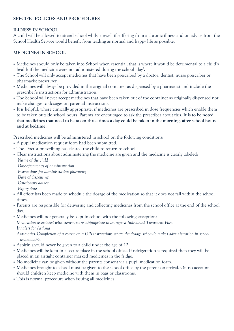#### **SPECIFIC POLICIES AND PROCEDURES**

#### **ILLNESS IN SCHOOL**

A child will be allowed to attend school whilst unwell if suffering from a chronic illness and on advice from the School Health Service would benefit from leading as normal and happy life as possible.

#### **MEDICINES IN SCHOOL**

- Medicines should only be taken into School when essential; that is where it would be detrimental to a child's health if the medicine were not administered during the school 'day'.
- The School will only accept medicines that have been prescribed by a doctor, dentist, nurse prescriber or pharmacist prescriber.
- Medicines will always be provided in the original container as dispensed by a pharmacist and include the prescriber's instructions for administration.
- The School will never accept medicines that have been taken out of the container as originally dispensed nor make changes to dosages on parental instructions.
- It is helpful, where clinically appropriate, if medicines are prescribed in dose frequencies which enable them to be taken outside school hours. Parents are encouraged to ask the prescriber about this. **It is to be noted that medicines that need to be taken three times a day could be taken in the morning, after school hours and at bedtime.**

Prescribed medicines will be administered in school on the following conditions:

- A pupil medication request form had been submitted.
- The Doctor prescribing has cleared the child to return to school.
- Clear instructions about administering the medicine are given and the medicine is clearly labeled: *Name of the child*

*Dose/frequency of administration Instructions for administration pharmacy Date of dispensing Cautionary advice Expiry date*

- All effort has been made to schedule the dosage of the medication so that it does not fall within the school times.
- Parents are responsible for delivering and collecting medicines from the school office at the end of the school day.
- Medicines will not generally be kept in school with the following exception:

*Medication associated with treatment as appropriate to an agreed Individual Treatment Plan. Inhalers for Asthma*

*Antibiotics- Completion of a course on a GPs instructions where the dosage schedule makes administration in school unavoidable.*

- Aspirin should never be given to a child under the age of 12.
- Medicines will be kept in a secure place in the school office. If refrigeration is required then they will be placed in an airtight container marked medicines in the fridge.
- No medicine can be given without the parents consent via a pupil medication form.
- Medicines brought to school must be given to the school office by the parent on arrival. On no account should children keep medicine with them in bags or classrooms.
- This is normal procedure when issuing all medicines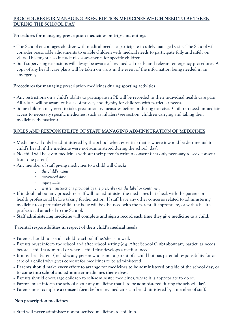#### **PROCEDURES FOR MANAGING PRESCRIPTION MEDICINES WHICH NEED TO BE TAKEN DURING THE SCHOOL DAY**

#### **Procedures for managing prescription medicines on trips and outings**

- The School encourages children with medical needs to participate in safely managed visits. The School will consider reasonable adjustments to enable children with medical needs to participate fully and safely on visits. This might also include risk assessments for specific children.
- Staff supervising excursions will always be aware of any medical needs, and relevant emergency procedures. A copy of any health care plans will be taken on visits in the event of the information being needed in an emergency.

#### **Procedures for managing prescription medicines during sporting activities**

- Any restrictions on a child's ability to participate in PE will be recorded in their individual health care plan. All adults will be aware of issues of privacy and dignity for children with particular needs.
- Some children may need to take precautionary measures before or during exercise. Children need immediate access to necessary specific medicines, such as inhalers (see section: children carrying and taking their medicines themselves).

#### **ROLES AND RESPONSIBILITY OF STAFF MANAGING ADMINISTRATION OF MEDICINES**

- Medicine will only be administered by the School when essential; that is where it would be detrimental to a child's health if the medicine were not administered during the school 'day'.
- No child will be given medicines without their parent's written consent (it is only necessary to seek consent from one parent).
- Any member of staff giving medicines to a child will check:
	- <sup>o</sup> *the child's name*
	- <sup>o</sup> *prescribed dose*
	- <sup>o</sup> *expiry date*
	- <sup>o</sup> *written instructions provided by the prescriber on the label or container.*
- If in doubt about any procedure staff will not administer the medicines but check with the parents or a health professional before taking further action. If staff have any other concerns related to administering medicine to a particular child, the issue will be discussed with the parent, if appropriate, or with a health professional attached to the School.
- **Staff administering medicine will complete and sign a record each time they give medicine to a child.**

#### **Parental responsibilities in respect of their child's medical needs**

- Parents should not send a child to school if he/she is unwell.
- Parents must inform the school and after school setting (e.g. After School Club) about any particular needs before a child is admitted or when a child first develops a medical need.
- It must be a Parent (includes any person who is not a parent of a child but has parental responsibility for or care of a child) who gives consent for medicines to be administered.
- **Parents should make every effort to arrange for medicines to be administered outside of the school day, or to come into school and administer medicines themselves.**
- Parents should encourage children to self-administer medicines, where it is appropriate to do so.
- Parents must inform the school about any medicine that is to be administered during the school 'day'.
- Parents must complete **a consent form** before any medicine can be administered by a member of staff.

#### **Non-prescription medicines**

Staff will **never** administer non-prescribed medicines to children.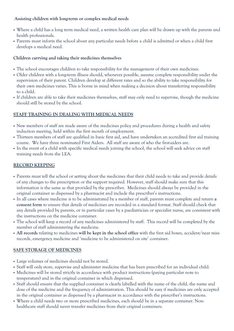#### **Assisting children with long-term or complex medical needs**

- Where a child has a long term medical need, a written health care plan will be drawn up with the parents and health professionals.
- Parents must inform the school about any particular needs before a child is admitted or when a child first develops a medical need.

#### **Children carrying and taking their medicines themselves**

- The school encourages children to take responsibility for the management of their own medicines.
- Older children with a long-term illness should, whenever possible, assume complete responsibility under the supervision of their parent. Children develop at different rates and so the ability to take responsibility for their own medicines varies. This is borne in mind when making a decision about transferring responsibility to a child.
- If children are able to take their medicines themselves, staff may only need to supervise, though the medicine should still be stored by the school.

### **STAFF TRAINING IN DEALING WITH MEDICAL NEEDS**

- New members of staff are made aware of the medicines policy and procedures during a health and safety induction meeting, held within the first month of employment.
- Thirteen members of staff are qualified in basic first aid, and have undertaken an accredited first aid training course. We have three nominated First Aiders. All staff are aware of who the first-aiders are.
- In the event of a child with specific medical needs joining the school, the school will seek advice on staff training needs from the LEA.

#### **RECORD KEEPING**

- Parents must tell the school or setting about the medicines that their child needs to take and provide details of any changes to the prescription or the support required. However, staff should make sure that this information is the same as that provided by the prescriber. Medicines should always be provided in the original container as dispensed by a pharmacist and include the prescriber's instructions.
- In all cases where medicine is to be administrated by a member of staff, parents must complete and return **a consent form** to ensure that details of medicines are recorded in a standard format. Staff should check that any details provided by parents, or in particular cases by a paediatrician or specialist nurse, are consistent with the instructions on the medicine container.
- The school will keep a record of any medicines administered by staff. This record will be completed by the member of staff administering the medicine.
- **All records** relating to medicines **will be kept in the school office** with the first aid boxes, accident/near miss records, emergency medicine and 'medicine to be administered on site' container.

#### **SAFE STORAGE OF MEDICINES**

- Large volumes of medicines should not be stored.
- Staff will only store, supervise and administer medicine that has been prescribed for an individual child.
- Medicines will be stored strictly in accordance with product instructions (paying particular note to temperature) and in the original container in which dispensed.
- Staff should ensure that the supplied container is clearly labelled with the name of the child, the name and dose of the medicine and the frequency of administration. This should be easy if medicines are only accepted in the original container as dispensed by a pharmacist in accordance with the prescriber's instructions.
- Where a child needs two or more prescribed medicines, each should be in a separate container. Nonhealthcare staff should never transfer medicines from their original containers.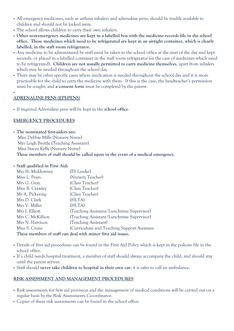- All emergency medicines, such as asthma inhalers and adrenaline pens, should be readily available to children and should not be locked away.
- The school allows children to carry their own inhalers.
- **Other non-emergency medicines are kept in a labelled box with the medicine records file in the school office**. **Those medicines which need to be refrigerated are kept in an airtight container, which is clearly labelled, in the staff room refrigerator.**
- Any medicine to be administered by staff must be taken to the school office at the start of the day and kept securely, or placed in a labelled container in the staff room refrigerator (in the case of medicines which need to be refrigerated). **Children are not usually permitted to carry medicine themselves**, apart from inhalers which may be needed throughout the school day.
- There may be other specific cases where medication is needed throughout the school day and it is more practicable for the child to carry the medicine with them. If this is the case, the headteacher's permission must be sought, and **a consent form** must be completed by the parent.

#### **ADRENALINE PENS (EPI-PENS)**

F

If required Adrenaline pens will be kept in the **school office**.

#### **EMERGENCY PROCEDURES**

 **The nominated first-aiders are:**  Miss Debbie Mills (Nursery Nurse) Mrs Leigh Brettle (Teaching Assistant) Miss Stacey Kelly (Nursery Nurse) **These members of staff should be called upon in the event of a medical emergency**.

#### **Staff qualified in First Aid:**

| Mrs H. Muldowney                                             | (FS Leader)                                |
|--------------------------------------------------------------|--------------------------------------------|
| Miss L. Pears                                                | (Nursery Teacher)                          |
| Mrs G. Gray                                                  | (Class Teacher)                            |
| Miss B. Crawley                                              | (Class Teacher)                            |
| Mr A. Pickering                                              | (Class Teacher)                            |
| Mrs D. Clark                                                 | (HLTA)                                     |
| Mrs V. Miller                                                | (HLTA)                                     |
| Mrs J. Elliott                                               | (Teaching Assistant/Lunchtime Supervisor)  |
| Mrs C. McKillion                                             | (Teaching Assistant/Lunchtime Supervisor)  |
| Mrs N. Harrison                                              | (Teaching Assistant)                       |
| Miss S. Crane                                                | (Curriculum and Teaching Support Assistant |
| These members of staff can deal with minor first aid issues. |                                            |

- Details of first aid procedures can be found in the First Aid Policy which is kept in the policies file in the school office.
- If a child needs hospital treatment, a member of staff should always accompany the child, and should stay until the parent arrives.
- Staff should **never take children to hospital in their own car**; it is safer to call an ambulance.

#### **RISK ASSESSMENT AND MANAGEMENT PROCEDURES**

- Risk assessments for first aid provision and the management of medical conditions will be carried out on a regular basis by the Risk Assessments Co-ordinator.
- Copies of these risk assessments can be found in the school office.